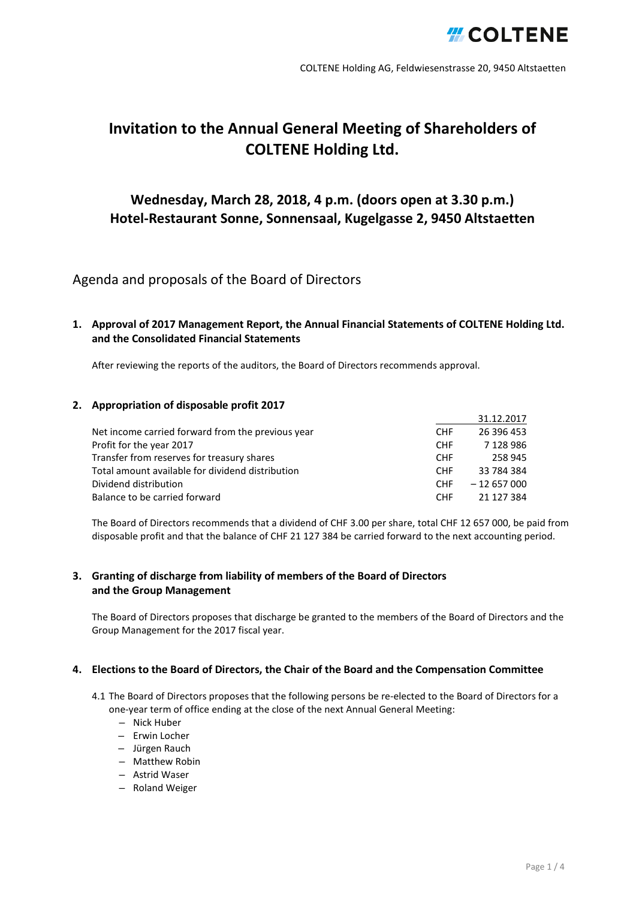

# **Invitation to the Annual General Meeting of Shareholders of COLTENE Holding Ltd.**

## **Wednesday, March 28, 2018, 4 p.m. (doors open at 3.30 p.m.) Hotel-Restaurant Sonne, Sonnensaal, Kugelgasse 2, 9450 Altstaetten**

## Agenda and proposals of the Board of Directors

## **1. Approval of 2017 Management Report, the Annual Financial Statements of COLTENE Holding Ltd. and the Consolidated Financial Statements**

After reviewing the reports of the auditors, the Board of Directors recommends approval.

## **2. Appropriation of disposable profit 2017**

|                                                   |            | 31.12.2017    |
|---------------------------------------------------|------------|---------------|
| Net income carried forward from the previous year | <b>CHF</b> | 26 396 453    |
| Profit for the year 2017                          | <b>CHF</b> | 7 1 2 8 9 8 6 |
| Transfer from reserves for treasury shares        | <b>CHF</b> | 258 945       |
| Total amount available for dividend distribution  | CHF.       | 33 784 384    |
| Dividend distribution                             | <b>CHF</b> | $-12657000$   |
| Balance to be carried forward                     | <b>CHF</b> | 21 127 384    |

The Board of Directors recommends that a dividend of CHF 3.00 per share, total CHF 12 657 000, be paid from disposable profit and that the balance of CHF 21 127 384 be carried forward to the next accounting period.

## **3. Granting of discharge from liability of members of the Board of Directors and the Group Management**

The Board of Directors proposes that discharge be granted to the members of the Board of Directors and the Group Management for the 2017 fiscal year.

### **4. Elections to the Board of Directors, the Chair of the Board and the Compensation Committee**

- 4.1 The Board of Directors proposes that the following persons be re-elected to the Board of Directors for a one-year term of office ending at the close of the next Annual General Meeting:
	- Nick Huber
	- Erwin Locher
	- Jürgen Rauch
	- Matthew Robin
	- Astrid Waser
	- Roland Weiger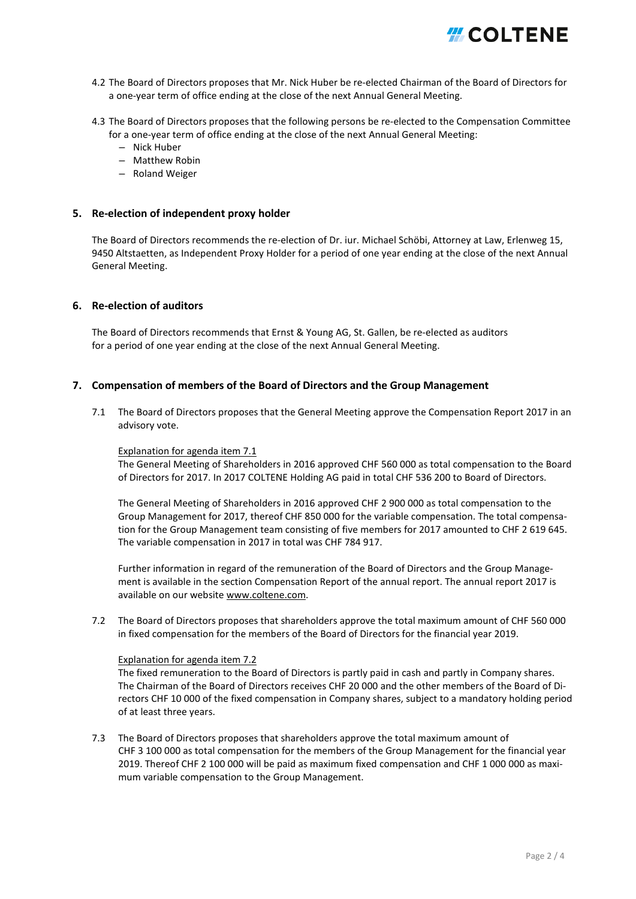

- 4.2 The Board of Directors proposes that Mr. Nick Huber be re-elected Chairman of the Board of Directors for a one-year term of office ending at the close of the next Annual General Meeting.
- 4.3 The Board of Directors proposes that the following persons be re-elected to the Compensation Committee for a one-year term of office ending at the close of the next Annual General Meeting:
	- Nick Huber
	- Matthew Robin
	- Roland Weiger

### **5. Re-election of independent proxy holder**

The Board of Directors recommends the re-election of Dr. iur. Michael Schöbi, Attorney at Law, Erlenweg 15, 9450 Altstaetten, as Independent Proxy Holder for a period of one year ending at the close of the next Annual General Meeting.

### **6. Re-election of auditors**

The Board of Directors recommends that Ernst & Young AG, St. Gallen, be re-elected as auditors for a period of one year ending at the close of the next Annual General Meeting.

### **7. Compensation of members of the Board of Directors and the Group Management**

7.1 The Board of Directors proposes that the General Meeting approve the Compensation Report 2017 in an advisory vote.

#### Explanation for agenda item 7.1

The General Meeting of Shareholders in 2016 approved CHF 560 000 as total compensation to the Board of Directors for 2017. In 2017 COLTENE Holding AG paid in total CHF 536 200 to Board of Directors.

The General Meeting of Shareholders in 2016 approved CHF 2 900 000 as total compensation to the Group Management for 2017, thereof CHF 850 000 for the variable compensation. The total compensation for the Group Management team consisting of five members for 2017 amounted to CHF 2 619 645. The variable compensation in 2017 in total was CHF 784 917.

Further information in regard of the remuneration of the Board of Directors and the Group Management is available in the section Compensation Report of the annual report. The annual report 2017 is available on our website www.coltene.com.

7.2 The Board of Directors proposes that shareholders approve the total maximum amount of CHF 560 000 in fixed compensation for the members of the Board of Directors for the financial year 2019.

### Explanation for agenda item 7.2

The fixed remuneration to the Board of Directors is partly paid in cash and partly in Company shares. The Chairman of the Board of Directors receives CHF 20 000 and the other members of the Board of Directors CHF 10 000 of the fixed compensation in Company shares, subject to a mandatory holding period of at least three years.

7.3 The Board of Directors proposes that shareholders approve the total maximum amount of CHF 3 100 000 as total compensation for the members of the Group Management for the financial year 2019. Thereof CHF 2 100 000 will be paid as maximum fixed compensation and CHF 1 000 000 as maximum variable compensation to the Group Management.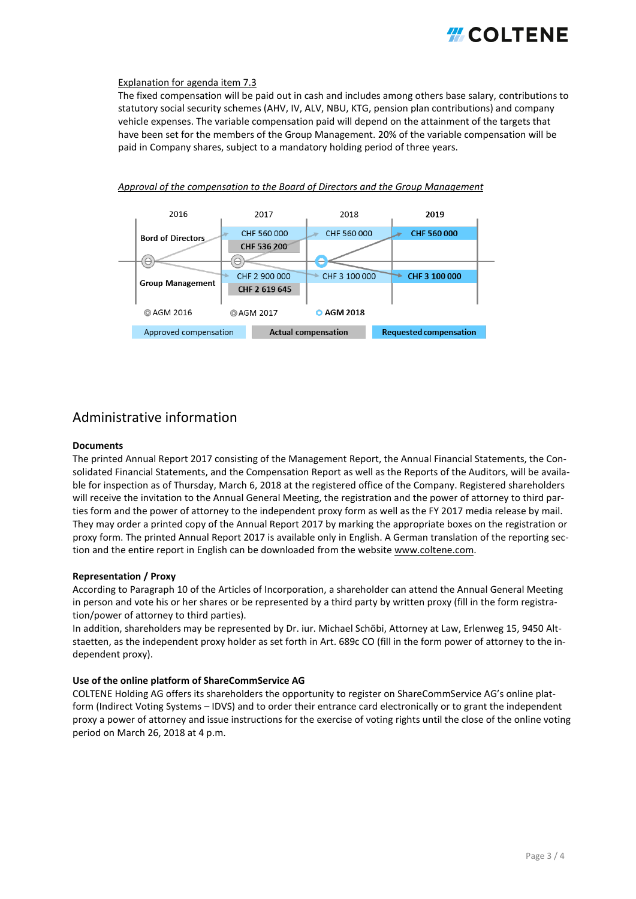

#### Explanation for agenda item 7.3

The fixed compensation will be paid out in cash and includes among others base salary, contributions to statutory social security schemes (AHV, IV, ALV, NBU, KTG, pension plan contributions) and company vehicle expenses. The variable compensation paid will depend on the attainment of the targets that have been set for the members of the Group Management. 20% of the variable compensation will be paid in Company shares, subject to a mandatory holding period of three years.



### *Approval of the compensation to the Board of Directors and the Group Management*

## Administrative information

#### **Documents**

The printed Annual Report 2017 consisting of the Management Report, the Annual Financial Statements, the Consolidated Financial Statements, and the Compensation Report as well as the Reports of the Auditors, will be available for inspection as of Thursday, March 6, 2018 at the registered office of the Company. Registered shareholders will receive the invitation to the Annual General Meeting, the registration and the power of attorney to third parties form and the power of attorney to the independent proxy form as well as the FY 2017 media release by mail. They may order a printed copy of the Annual Report 2017 by marking the appropriate boxes on the registration or proxy form. The printed Annual Report 2017 is available only in English. A German translation of the reporting section and the entire report in English can be downloaded from the websit[e www.coltene.com.](https://www.coltene.com/de/investoren-medien/finanzpublikationen/)

#### **Representation / Proxy**

According to Paragraph 10 of the Articles of Incorporation, a shareholder can attend the Annual General Meeting in person and vote his or her shares or be represented by a third party by written proxy (fill in the form registration/power of attorney to third parties).

In addition, shareholders may be represented by Dr. iur. Michael Schöbi, Attorney at Law, Erlenweg 15, 9450 Altstaetten, as the independent proxy holder as set forth in Art. 689c CO (fill in the form power of attorney to the independent proxy).

#### **Use of the online platform of ShareCommService AG**

COLTENE Holding AG offers its shareholders the opportunity to register on ShareCommService AG's online platform (Indirect Voting Systems – IDVS) and to order their entrance card electronically or to grant the independent proxy a power of attorney and issue instructions for the exercise of voting rights until the close of the online voting period on March 26, 2018 at 4 p.m.